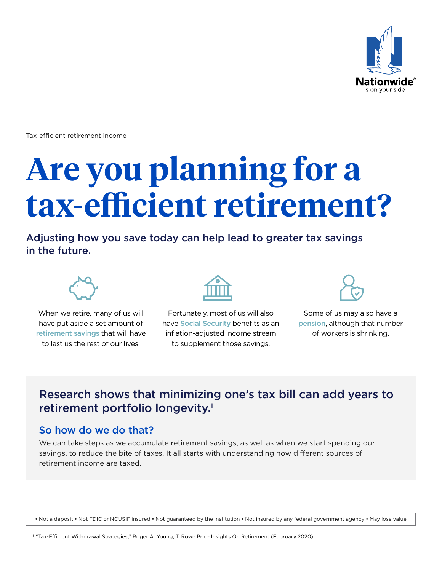

Tax-efficient retirement income

# **Are you planning for a tax-efficient retirement?**

Adjusting how you save today can help lead to greater tax savings in the future.



When we retire, many of us will have put aside a set amount of retirement savings that will have to last us the rest of our lives.



Fortunately, most of us will also have Social Security benefits as an inflation-adjusted income stream to supplement those savings.



Some of us may also have a pension, although that number of workers is shrinking.

### Research shows that minimizing one's tax bill can add years to retirement portfolio longevity.<sup>1</sup>

#### So how do we do that?

We can take steps as we accumulate retirement savings, as well as when we start spending our savings, to reduce the bite of taxes. It all starts with understanding how different sources of retirement income are taxed.

• Not a deposit • Not FDIC or NCUSIF insured • Not guaranteed by the institution • Not insured by any federal government agency • May lose value

1 "Tax-Efficient Withdrawal Strategies," Roger A. Young, T. Rowe Price Insights On Retirement (February 2020).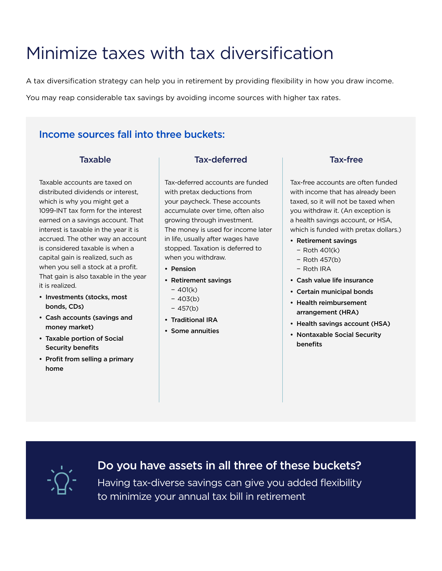### Minimize taxes with tax diversification

A tax diversification strategy can help you in retirement by providing flexibility in how you draw income.

You may reap considerable tax savings by avoiding income sources with higher tax rates.

#### Income sources fall into three buckets:

#### **Taxable**

Taxable accounts are taxed on distributed dividends or interest, which is why you might get a 1099-INT tax form for the interest earned on a savings account. That interest is taxable in the year it is accrued. The other way an account is considered taxable is when a capital gain is realized, such as when you sell a stock at a profit. That gain is also taxable in the year it is realized.

- Investments (stocks, most bonds, CDs)
- Cash accounts (savings and money market)
- Taxable portion of Social Security benefits
- Profit from selling a primary home

#### Tax-deferred

Tax-deferred accounts are funded with pretax deductions from your paycheck. These accounts accumulate over time, often also growing through investment. The money is used for income later in life, usually after wages have stopped. Taxation is deferred to when you withdraw.

- Pension
- Retirement savings
	- − 401(k)
	- − 403(b)
	- − 457(b)
- Traditional IRA
- Some annuities

#### Tax-free

Tax-free accounts are often funded with income that has already been taxed, so it will not be taxed when you withdraw it. (An exception is a health savings account, or HSA, which is funded with pretax dollars.)

- Retirement savings
	- − Roth 401(k)
	- − Roth 457(b)
	- − Roth IRA
- Cash value life insurance
- Certain municipal bonds
- Health reimbursement arrangement (HRA)
- Health savings account (HSA)
- Nontaxable Social Security benefits



#### Do you have assets in all three of these buckets?

Having tax-diverse savings can give you added flexibility to minimize your annual tax bill in retirement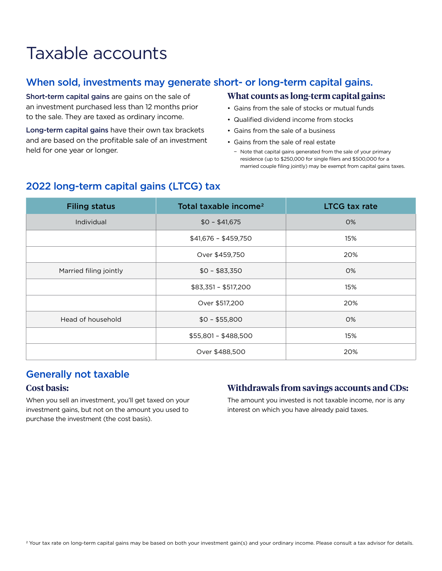## Taxable accounts

#### When sold, investments may generate short- or long-term capital gains.

Short-term capital gains are gains on the sale of an investment purchased less than 12 months prior to the sale. They are taxed as ordinary income.

Long-term capital gains have their own tax brackets and are based on the profitable sale of an investment held for one year or longer.

#### **What counts as long-term capital gains:**

- Gains from the sale of stocks or mutual funds
- Qualified dividend income from stocks
- Gains from the sale of a business
- Gains from the sale of real estate
	- − Note that capital gains generated from the sale of your primary residence (up to \$250,000 for single filers and \$500,000 for a married couple filing jointly) may be exempt from capital gains taxes.

| <b>Filing status</b>   | Total taxable income <sup>2</sup> | <b>LTCG tax rate</b> |
|------------------------|-----------------------------------|----------------------|
| Individual             | $$0 - $41,675$                    | 0%                   |
|                        | $$41,676 - $459,750$              | 15%                  |
|                        | Over \$459,750                    | 20%                  |
| Married filing jointly | $$0 - $83,350$                    | 0%                   |
|                        | $$83,351 - $517,200$              | 15%                  |
|                        | Over \$517,200                    | 20%                  |
| Head of household      | $$0 - $55,800$                    | 0%                   |
|                        | \$55,801 - \$488,500              | 15%                  |
|                        | Over \$488,500                    | 20%                  |

#### 2022 long-term capital gains (LTCG) tax

#### Generally not taxable

#### **Cost basis:**

When you sell an investment, you'll get taxed on your investment gains, but not on the amount you used to purchase the investment (the cost basis).

#### **Withdrawals from savings accounts and CDs:**

The amount you invested is not taxable income, nor is any interest on which you have already paid taxes.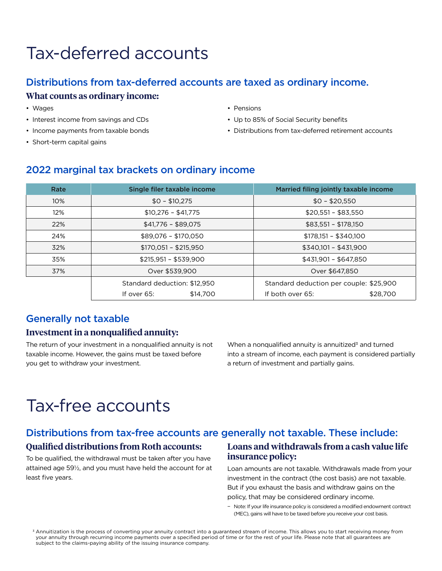## Tax-deferred accounts

#### Distributions from tax-deferred accounts are taxed as ordinary income. **What counts as ordinary income:**

- Wages
- Interest income from savings and CDs
- Income payments from taxable bonds
- Short-term capital gains
- Pensions
- Up to 85% of Social Security benefits
- Distributions from tax-deferred retirement accounts

#### 2022 marginal tax brackets on ordinary income

| Rate | Single filer taxable income  | Married filing jointly taxable income   |
|------|------------------------------|-----------------------------------------|
| 10%  | $$0 - $10.275$               | $$0 - $20,550$                          |
| 12%  | $$10,276 - $41,775$          | $$20,551 - $83,550$                     |
| 22%  | $$41,776 - $89,075$          | $$83,551 - $178,150$                    |
| 24%  | \$89,076 - \$170,050         | $$178,151 - $340,100$                   |
| 32%  | $$170,051 - $215,950$        | $$340,101 - $431,900$                   |
| 35%  | $$215,951 - $539,900$        | $$431,901 - $647,850$                   |
| 37%  | Over \$539,900               | Over \$647,850                          |
|      | Standard deduction: \$12,950 | Standard deduction per couple: \$25,900 |
|      | If over 65:<br>\$14,700      | If both over 65:<br>\$28,700            |

#### Generally not taxable

#### **Investment in a nonqualified annuity:**

The return of your investment in a nonqualified annuity is not taxable income. However, the gains must be taxed before you get to withdraw your investment.

When a nonqualified annuity is annuitized<sup>3</sup> and turned into a stream of income, each payment is considered partially a return of investment and partially gains.

### Tax-free accounts

#### Distributions from tax-free accounts are generally not taxable. These include:

#### **Qualified distributions from Roth accounts:**

To be qualified, the withdrawal must be taken after you have attained age 59½, and you must have held the account for at least five years.

#### **Loans and withdrawals from a cash value life insurance policy:**

Loan amounts are not taxable. Withdrawals made from your investment in the contract (the cost basis) are not taxable. But if you exhaust the basis and withdraw gains on the policy, that may be considered ordinary income.

− Note: If your life insurance policy is considered a modified endowment contract (MEC), gains will have to be taxed before you receive your cost basis.

<sup>&</sup>lt;sup>3</sup> Annuitization is the process of converting your annuity contract into a guaranteed stream of income. This allows you to start receiving money from your annuity through recurring income payments over a specified period of time or for the rest of your life. Please note that all guarantees are subject to the claims-paying ability of the issuing insurance company.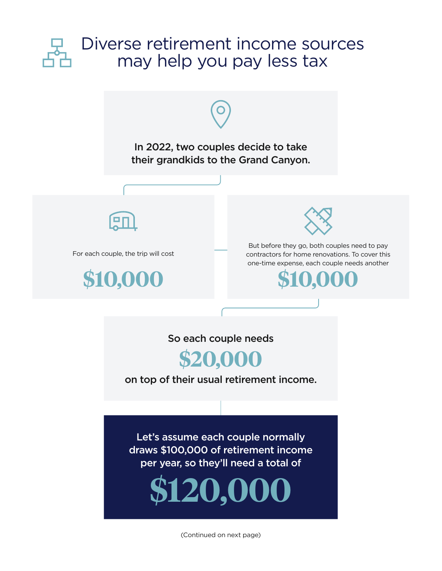

(Continued on next page)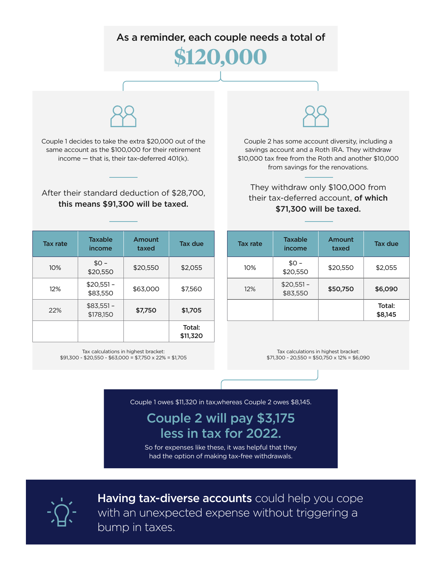

| <b>Tax rate</b> | <b>Taxable</b><br>income | Amount<br>taxed | <b>Tax due</b>     |
|-----------------|--------------------------|-----------------|--------------------|
| 10%             | $$0 -$<br>\$20,550       | \$20,550        | \$2,055            |
| 12%             | $$20,551-$<br>\$83,550   | \$63,000        | \$7,560            |
| 22%             | $$83,551-$<br>\$178.150  | \$7,750         | \$1,705            |
|                 |                          |                 | Total:<br>\$11,320 |

Tax calculations in highest bracket: \$91,300 - \$20,550 - \$63,000 = \$7,750 x 22% = \$1,705

Tax calculations in highest bracket:  $$71,300 - 20,550 = $50,750 \times 12\% = $6,090$ 

 $\begin{array}{c|c}\n\downarrow \circ \\
\downarrow 20,550\n\end{array}$  \$2,055

 $$83,550$   $$50,750$   $$6,090$ 

Total: \$8,145

income

 $10\%$   $\downarrow$   $\frac{10\%}{10\%}$ 

 $\frac{$20,551}{12\%}$ 

Couple 1 owes \$11,320 in tax,whereas Couple 2 owes \$8,145.

Couple 2 will pay \$3,175 less in tax for 2022.

So for expenses like these, it was helpful that they had the option of making tax-free withdrawals.



Having tax-diverse accounts could help you cope with an unexpected expense without triggering a bump in taxes.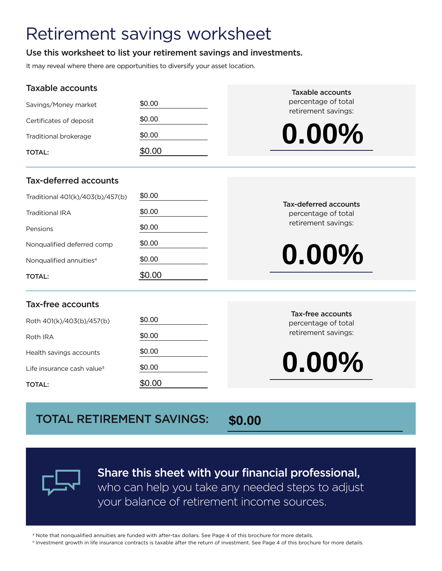### Retirement savings worksheet

#### Use this worksheet to list your retirement savings and investments.

It may reveal where there are opportunities to diversify your asset location.

#### Taxable accounts

| Taxable accounts                       |        | <b>Taxable accounts</b>                         |  |
|----------------------------------------|--------|-------------------------------------------------|--|
| Savings/Money market                   | \$0.00 | percentage of total<br>retirement savings:      |  |
| Certificates of deposit                | \$0.00 |                                                 |  |
| Traditional brokerage                  | \$0.00 | $0.00\%$                                        |  |
| <b>TOTAL:</b>                          | \$0.00 |                                                 |  |
| <b>Tax-deferred accounts</b>           |        |                                                 |  |
| Traditional 401(k)/403(b)/457(b)       | \$0.00 |                                                 |  |
| <b>Traditional IRA</b>                 | \$0.00 | Tax-deferred accounts<br>percentage of total    |  |
| Pensions                               | \$0.00 | retirement savings:                             |  |
| Nonqualified deferred comp             | \$0.00 |                                                 |  |
| Nonqualified annuities <sup>4</sup>    | \$0.00 | $0.00\%$                                        |  |
| <b>TOTAL:</b>                          | \$0.00 |                                                 |  |
| <b>Tax-free accounts</b>               |        |                                                 |  |
| Roth 401(k)/403(b)/457(b)              | \$0.00 | <b>Tax-free accounts</b><br>percentage of total |  |
| Roth IRA                               | \$0.00 | retirement savings:                             |  |
| Health savings accounts                | \$0.00 |                                                 |  |
| Life insurance cash value <sup>5</sup> | \$0.00 | $0.00\%$                                        |  |
| <b>TOTAL:</b>                          | \$0.00 |                                                 |  |

#### Tax-deferred accounts

| Traditional 401(k)/403(b)/457(b)    | \$0.00 |
|-------------------------------------|--------|
| Traditional IRA                     | \$0.00 |
| Pensions                            | \$0.00 |
| Nongualified deferred comp          | \$0.00 |
| Nongualified annuities <sup>4</sup> | \$0.00 |
| <b>TOTAL:</b>                       | \$0.00 |

#### Tax-deferred accounts percentage of total retirement savings:

#### Tax-free accounts

| Roth 401(k)/403(b)/457(b)              | \$0.00 |
|----------------------------------------|--------|
| Roth IRA                               | \$0.00 |
| Health savings accounts                | \$0.00 |
| Life insurance cash value <sup>5</sup> | \$0.00 |
| <b>TOTAL:</b>                          | \$0.00 |

#### Tax-free accounts percentage of total retirement savings:

### TOTAL RETIREMENT SAVINGS:

**\$0.00**



Share this sheet with your financial professional, who can help you take any needed steps to adjust your balance of retirement income sources.

4 Note that nonqualified annuities are funded with after-tax dollars. See Page 4 of this brochure for more details.

5 Investment growth in life insurance contracts is taxable after the return of investment. See Page 4 of this brochure for more details.